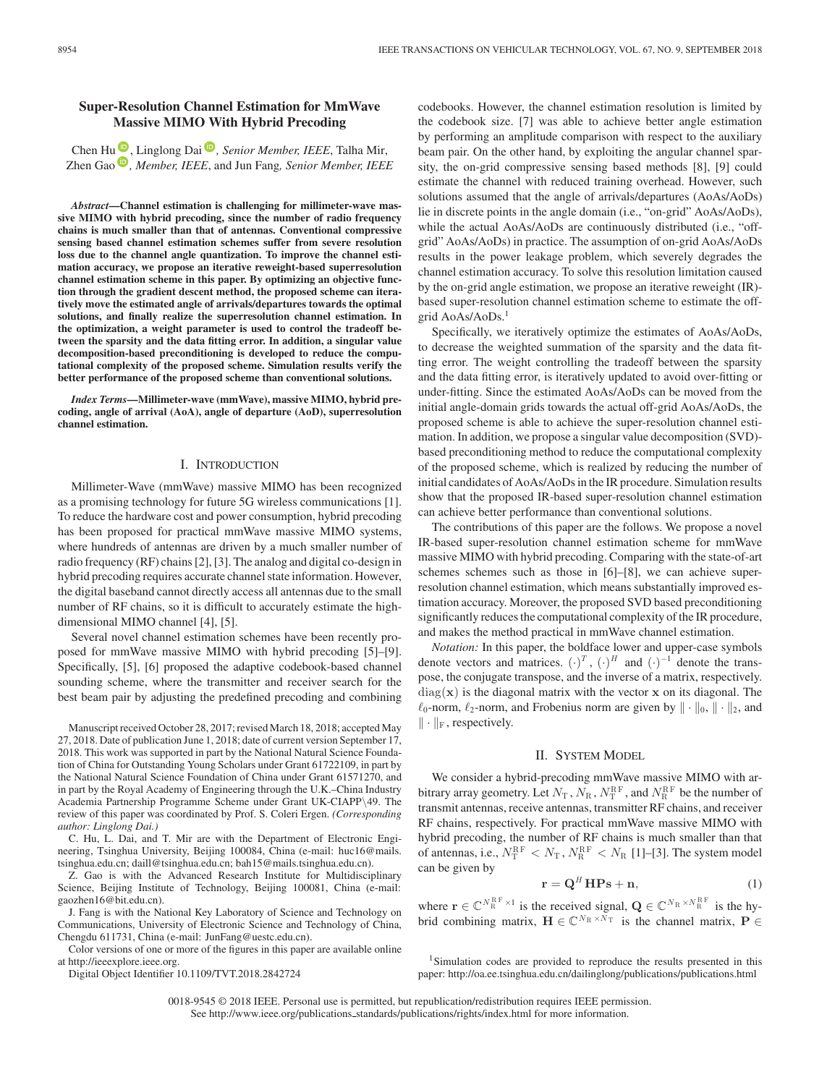## **Super-Resolution Channel Estimation for MmWave Massive MIMO With Hybrid Precoding**

Chen Hu<sup>(10</sup>)[,](https://orcid.org/0000-0002-4250-7315) Linglong Dai<sup>(10</sup>), Senior Member, IEEE, Talha Mir, Zhen Gao<sup>D</sup>[,](https://orcid.org/0000-0002-2709-0216) *Member, IEEE*, and Jun Fang, *Senior Member, IEEE* 

*Abstract***—Channel estimation is challenging for millimeter-wave massive MIMO with hybrid precoding, since the number of radio frequency chains is much smaller than that of antennas. Conventional compressive sensing based channel estimation schemes suffer from severe resolution loss due to the channel angle quantization. To improve the channel estimation accuracy, we propose an iterative reweight-based superresolution channel estimation scheme in this paper. By optimizing an objective function through the gradient descent method, the proposed scheme can iteratively move the estimated angle of arrivals/departures towards the optimal solutions, and finally realize the superresolution channel estimation. In the optimization, a weight parameter is used to control the tradeoff between the sparsity and the data fitting error. In addition, a singular value decomposition-based preconditioning is developed to reduce the computational complexity of the proposed scheme. Simulation results verify the better performance of the proposed scheme than conventional solutions.**

*Index Terms***—Millimeter-wave (mmWave), massive MIMO, hybrid precoding, angle of arrival (AoA), angle of departure (AoD), superresolution channel estimation.**

#### I. INTRODUCTION

Millimeter-Wave (mmWave) massive MIMO has been recognized as a promising technology for future 5G wireless communications [1]. To reduce the hardware cost and power consumption, hybrid precoding has been proposed for practical mmWave massive MIMO systems, where hundreds of antennas are driven by a much smaller number of radio frequency (RF) chains [2], [3]. The analog and digital co-design in hybrid precoding requires accurate channel state information. However, the digital baseband cannot directly access all antennas due to the small number of RF chains, so it is difficult to accurately estimate the highdimensional MIMO channel [4], [5].

Several novel channel estimation schemes have been recently proposed for mmWave massive MIMO with hybrid precoding [5]–[9]. Specifically, [5], [6] proposed the adaptive codebook-based channel sounding scheme, where the transmitter and receiver search for the best beam pair by adjusting the predefined precoding and combining

Manuscript received October 28, 2017; revised March 18, 2018; accepted May 27, 2018. Date of publication June 1, 2018; date of current version September 17, 2018. This work was supported in part by the National Natural Science Foundation of China for Outstanding Young Scholars under Grant 61722109, in part by the National Natural Science Foundation of China under Grant 61571270, and in part by the Royal Academy of Engineering through the U.K.–China Industry Academia Partnership Programme Scheme under Grant UK-CIAPP\49. The review of this paper was coordinated by Prof. S. Coleri Ergen. *(Corresponding author: Linglong Dai.)*

C. Hu, L. Dai, and T. Mir are with the Department of Electronic Engineering, Tsinghua University, Beijing 100084, China (e-mail: [huc16@mails.](mailto:huc16@mails.global advance reakcnt @ne penalty -@M tsinghua.edu.cn) [tsinghua.edu.cn;](mailto:huc16@mails.global advance reakcnt @ne penalty -@M tsinghua.edu.cn) [daill@tsinghua.edu.cn;](mailto:daill@tsinghua.edu.cn) [bah15@mails.tsinghua.edu.cn\)](mailto:bah15@mails.tsinghua.edu.cn).

Z. Gao is with the Advanced Research Institute for Multidisciplinary Science, Beijing Institute of Technology, Beijing 100081, China (e-mail: [gaozhen16@bit.edu.cn\)](mailto:gaozhen16@bit.edu.cn).

J. Fang is with the National Key Laboratory of Science and Technology on Communications, University of Electronic Science and Technology of China, Chengdu 611731, China (e-mail: JunFang@uestc.edu.cn).

Color versions of one or more of the figures in this paper are available online at http://ieeexplore.ieee.org.

Digital Object Identifier 10.1109/TVT.2018.2842724

codebooks. However, the channel estimation resolution is limited by the codebook size. [7] was able to achieve better angle estimation by performing an amplitude comparison with respect to the auxiliary beam pair. On the other hand, by exploiting the angular channel sparsity, the on-grid compressive sensing based methods [8], [9] could estimate the channel with reduced training overhead. However, such solutions assumed that the angle of arrivals/departures (AoAs/AoDs) lie in discrete points in the angle domain (i.e., "on-grid" AoAs/AoDs), while the actual AoAs/AoDs are continuously distributed (i.e., "offgrid" AoAs/AoDs) in practice. The assumption of on-grid AoAs/AoDs results in the power leakage problem, which severely degrades the channel estimation accuracy. To solve this resolution limitation caused by the on-grid angle estimation, we propose an iterative reweight (IR) based super-resolution channel estimation scheme to estimate the offgrid AoAs/AoDs.<sup>1</sup>

Specifically, we iteratively optimize the estimates of AoAs/AoDs, to decrease the weighted summation of the sparsity and the data fitting error. The weight controlling the tradeoff between the sparsity and the data fitting error, is iteratively updated to avoid over-fitting or under-fitting. Since the estimated AoAs/AoDs can be moved from the initial angle-domain grids towards the actual off-grid AoAs/AoDs, the proposed scheme is able to achieve the super-resolution channel estimation. In addition, we propose a singular value decomposition (SVD) based preconditioning method to reduce the computational complexity of the proposed scheme, which is realized by reducing the number of initial candidates of AoAs/AoDs in the IR procedure. Simulation results show that the proposed IR-based super-resolution channel estimation can achieve better performance than conventional solutions.

The contributions of this paper are the follows. We propose a novel IR-based super-resolution channel estimation scheme for mmWave massive MIMO with hybrid precoding. Comparing with the state-of-art schemes schemes such as those in [6]–[8], we can achieve superresolution channel estimation, which means substantially improved estimation accuracy. Moreover, the proposed SVD based preconditioning significantly reduces the computational complexity of the IR procedure, and makes the method practical in mmWave channel estimation.

*Notation:* In this paper, the boldface lower and upper-case symbols denote vectors and matrices.  $(\cdot)^T$ ,  $(\cdot)^H$  and  $(\cdot)^{-1}$  denote the transpose, the conjugate transpose, and the inverse of a matrix, respectively.  $diag(x)$  is the diagonal matrix with the vector  $x$  on its diagonal. The  $\ell_0$ -norm,  $\ell_2$ -norm, and Frobenius norm are given by  $\|\cdot\|_0$ ,  $\|\cdot\|_2$ , and  $\|\cdot\|_{\mathrm{F}}$ , respectively.

#### II. SYSTEM MODEL

We consider a hybrid-precoding mmWave massive MIMO with arbitrary array geometry. Let  $N_T$ ,  $N_R$ ,  $N_T^{\text{RF}}$ , and  $N_R^{\text{RF}}$  be the number of transmit antennas, receive antennas, transmitter RF chains, and receiver RF chains, respectively. For practical mmWave massive MIMO with hybrid precoding, the number of RF chains is much smaller than that of antennas, i.e.,  $N_{\rm T}^{\rm RF} < N_{\rm T}$ ,  $N_{\rm R}^{\rm RF} < N_{\rm R}$  [1]–[3]. The system model can be given by

$$
\mathbf{r} = \mathbf{Q}^H \mathbf{H} \mathbf{P} \mathbf{s} + \mathbf{n},\tag{1}
$$

where  $\mathbf{r} \in \mathbb{C}^{N_{\rm R}^{\rm RF} \times 1}$  is the received signal,  $\mathbf{Q} \in \mathbb{C}^{N_{\rm R} \times N_{\rm R}^{\rm RF}}$  is the hybrid combining matrix,  $\mathbf{H} \in \mathbb{C}^{N_R \times \bar{N}_T}$  is the channel matrix,  $\mathbf{P} \in$ 

<sup>1</sup>Simulation codes are provided to reproduce the results presented in this paper: http://oa.ee.tsinghua.edu.cn/dailinglong/publications/publications.html

0018-9545 © 2018 IEEE. Personal use is permitted, but republication/redistribution requires IEEE permission. See http://www.ieee.org/publications standards/publications/rights/index.html for more information.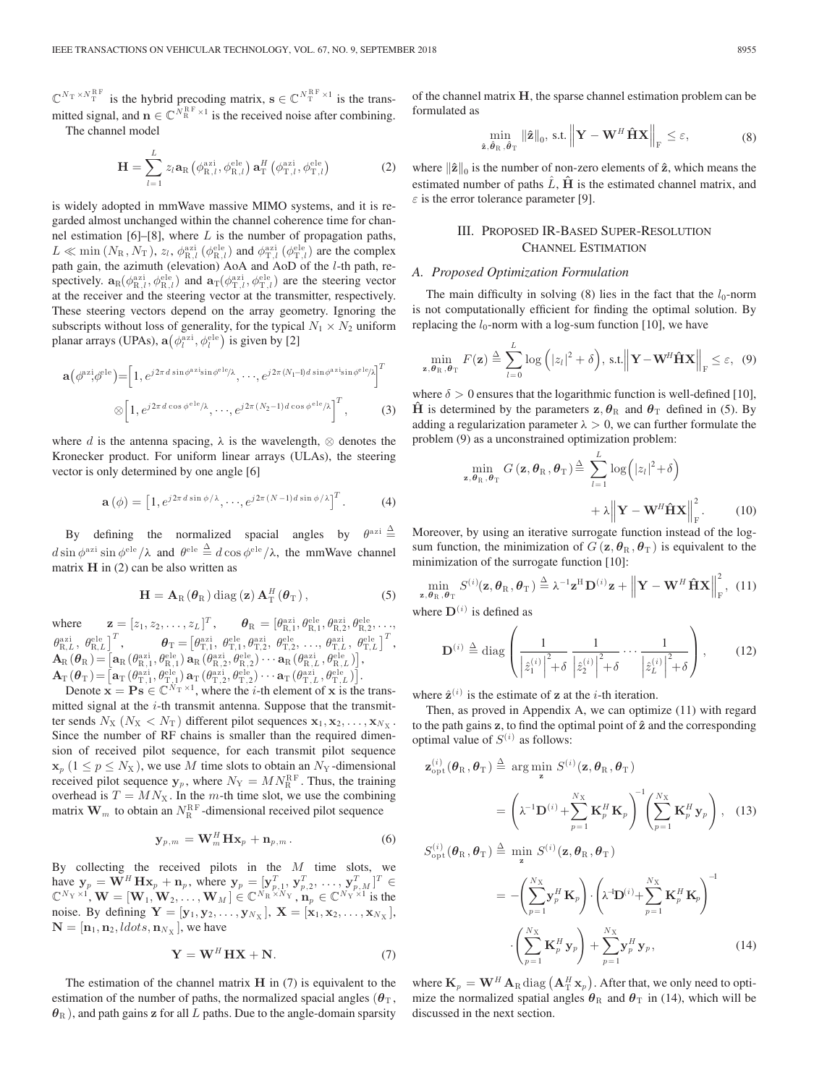$\mathbb{C}^{N_{\rm T} \times N_{\rm T}^{\rm RF}}$  is the hybrid precoding matrix,  $\mathbf{s} \in \mathbb{C}^{N_{\rm T}^{\rm RF} \times 1}$  is the transmitted signal, and  $\mathbf{n} \in \mathbb{C}^{N_{\mathrm{R}}^{\mathrm{RF}} \times 1}$  is the received noise after combining. The channel model

$$
\mathbf{H} = \sum_{l=1}^{L} z_l \mathbf{a}_{\mathrm{R}} \left( \phi_{\mathrm{R},l}^{\mathrm{azi}}, \phi_{\mathrm{R},l}^{\mathrm{ele}} \right) \mathbf{a}_{\mathrm{T}}^{H} \left( \phi_{\mathrm{T},l}^{\mathrm{azi}}, \phi_{\mathrm{T},l}^{\mathrm{ele}} \right)
$$
(2)

is widely adopted in mmWave massive MIMO systems, and it is regarded almost unchanged within the channel coherence time for channel estimation  $[6]$ – $[8]$ , where L is the number of propagation paths,  $L \ll \min(N_{\rm R}, N_{\rm T}), z_l, \phi_{\rm R,l}^{\rm azi} (\phi_{\rm R,l}^{\rm ele})$  and  $\phi_{\rm T,l}^{\rm azi} (\phi_{\rm T,l}^{\rm ele})$  are the complex path gain, the azimuth (elevation) AoA and AoD of the l-th path, respectively.  $\mathbf{a}_R(\phi_{R,l}^{azi}, \phi_{R,l}^{ele})$  and  $\mathbf{a}_T(\phi_{T,l}^{azi}, \phi_{T,l}^{ele})$  are the steering vector at the receiver and the steering vector at the transmitter, respectively. These steering vectors depend on the array geometry. Ignoring the subscripts without loss of generality, for the typical  $N_1 \times N_2$  uniform planar arrays (UPAs),  $\mathbf{a}(\phi_l^{\text{azi}}, \phi_l^{\text{ele}})$  is given by [2]

$$
\mathbf{a}(\phi^{\alpha z i}, \phi^{\text{ele}}) = \left[1, e^{j2\pi d \sin\phi^{\alpha z i} \sin\phi^{\text{ele}}/\lambda}, \cdots, e^{j2\pi (N_1 - 1)d \sin\phi^{\alpha z i} \sin\phi^{\text{ele}}/\lambda}\right]^T
$$

$$
\otimes \left[1, e^{j2\pi d \cos\phi^{\text{ele}}/\lambda}, \cdots, e^{j2\pi (N_2 - 1)d \cos\phi^{\text{ele}}/\lambda}\right]^T, \tag{3}
$$

where d is the antenna spacing,  $\lambda$  is the wavelength,  $\otimes$  denotes the Kronecker product. For uniform linear arrays (ULAs), the steering vector is only determined by one angle [6]

$$
\mathbf{a}(\phi) = \left[1, e^{j2\pi d \sin \phi/\lambda}, \cdots, e^{j2\pi (N-1)d \sin \phi/\lambda}\right]^T. \tag{4}
$$

By defining the normalized spacial angles by  $\theta^{azi} \triangleq$  $d \sin \phi^{azi} \sin \phi^{ele} / \lambda$  and  $\theta^{ele} \stackrel{\Delta}{=} d \cos \phi^{ele} / \lambda$ , the mmWave channel matrix  $H$  in (2) can be also written as

$$
\mathbf{H} = \mathbf{A}_{\mathrm{R}}(\boldsymbol{\theta}_{\mathrm{R}}) \operatorname{diag}\left(\mathbf{z}\right) \mathbf{A}_{\mathrm{T}}^{H}(\boldsymbol{\theta}_{\mathrm{T}}), \qquad (5)
$$

where  $\mathbf{z} = [z_1, z_2, \dots, z_L]^T$ ,  $\boldsymbol{\theta}_R = [\theta_{R,1}^{azi}, \theta_{R,1}^{ele}, \theta_{R,2}^{azi}, \theta_{R,2}^{ele}, \dots,$  $\theta_{\rm R,L}^{\rm azi} \, , \, \theta_{\rm R,L}^{\rm ele} \, \big]^T \, , \qquad \quad \boldsymbol{\theta}_{\rm T} = \big[ \theta_{\rm T,1}^{\rm azi}, \, \theta_{\rm T,1}^{\rm ele}, \theta_{\rm T,2}^{\rm azi}, \, \theta_{\rm T,2}^{\rm ele}, \, \ldots, \theta_{\rm T,L}^{\rm azi}, \, \theta_{\rm T,L}^{\rm ele} \, \big]^T \, ,$  $\mathbf{A}_\mathrm{R}(\boldsymbol{\theta}_\mathrm{R})\! =\! \big[\mathbf{a}_\mathrm{R}(\theta_{\mathrm{R},1}^{\mathrm{azi}},\theta_{\mathrm{R},1}^{\mathrm{ele}}) \, \mathbf{a}_\mathrm{R}(\theta_{\mathrm{R},2}^{\mathrm{azi}},\theta_{\mathrm{R},2}^{\mathrm{ele}}) \cdots \mathbf{a}_\mathrm{R}(\theta_{\mathrm{R},L}^{\mathrm{azi}},\theta_{\mathrm{R},L}^{\mathrm{ele}}) \big],$  $\mathbf{A}_\mathrm{T}\left(\boldsymbol{\theta}_\mathrm{T}\right)=\begin{bmatrix} \mathbf{a}_\mathrm{T}\left(\theta_{\mathrm{T},1}^{\mathrm{azi}},\theta_{\mathrm{T},1}^{\mathrm{ele}}\right) \mathbf{a}_\mathrm{T}\left(\theta_{\mathrm{T},2}^{\mathrm{azi}},\theta_{\mathrm{T},2}^{\mathrm{ele}}\right) \cdots \mathbf{a}_\mathrm{T}\left(\theta_{\mathrm{T},L}^{\mathrm{azi}},\theta_{\mathrm{T},L}^{\mathrm{ele}}\right) \end{bmatrix}.$ 

Denote  $\mathbf{x} = \mathbf{P}\mathbf{s} \in \mathbb{C}^{N_{\mathrm{T}} \times 1}$ , where the *i*-th element of **x** is the transmitted signal at the  $i$ -th transmit antenna. Suppose that the transmitter sends  $N_X$  ( $N_X < N_T$ ) different pilot sequences  $\mathbf{x}_1, \mathbf{x}_2, \dots, \mathbf{x}_{N_X}$ . Since the number of RF chains is smaller than the required dimension of received pilot sequence, for each transmit pilot sequence  $\mathbf{x}_p$  (1  $\leq p \leq N_X$ ), we use M time slots to obtain an  $N_Y$ -dimensional received pilot sequence  $y_p$ , where  $N_Y = MN_R^{RF}$ . Thus, the training overhead is  $T = MN_{\text{X}}$ . In the m-th time slot, we use the combining matrix  $\mathbf{W}_m$  to obtain an  $N_{\rm R}^{\rm RF}$ -dimensional received pilot sequence

$$
\mathbf{y}_{p,m} = \mathbf{W}_m^H \mathbf{H} \mathbf{x}_p + \mathbf{n}_{p,m}.
$$
 (6)

By collecting the received pilots in the  $M$  time slots, we have  $y_p = \mathbf{W}^H \mathbf{H} \mathbf{x}_p + \mathbf{n}_p$ , where  $\mathbf{y}_p = [\mathbf{y}_{p,1}^T, \mathbf{y}_{p,2}^T, \dots, \mathbf{y}_{p,M}^T]^T \in$  $\mathbb{C}^{N_{\text{Y}} \times 1}$ ,  $\mathbf{W} = [\mathbf{W}_1, \mathbf{W}_2, \dots, \mathbf{W}_M] \in \mathbb{C}^{N_{\text{R}} \times N_{\text{Y}}}$ ,  $\mathbf{n}_p \in \mathbb{C}^{N_{\text{Y}} \times 1}$  is the noise. By defining  $Y = [y_1, y_2, \dots, y_{N_X}]$ ,  $X = [x_1, x_2, \dots, x_{N_X}]$ ,  $\mathbf{N} = [\mathbf{n}_1, \mathbf{n}_2, \text{ldots}, \mathbf{n}_{N_X}],$  we have

$$
\mathbf{Y} = \mathbf{W}^H \mathbf{H} \mathbf{X} + \mathbf{N}.\tag{7}
$$

The estimation of the channel matrix **H** in (7) is equivalent to the estimation of the number of paths, the normalized spacial angles ( $\theta_T$ ,  $\theta_R$ ), and path gains **z** for all L paths. Due to the angle-domain sparsity

of the channel matrix **H**, the sparse channel estimation problem can be formulated as

$$
\min_{\hat{\mathbf{z}}, \hat{\boldsymbol{\theta}}_{\text{R}}, \hat{\boldsymbol{\theta}}_{\text{T}}} \|\hat{\mathbf{z}}\|_{0}, \text{ s.t. } \left\|\mathbf{Y} - \mathbf{W}^{H} \hat{\mathbf{H}} \mathbf{X}\right\|_{\text{F}} \leq \varepsilon, \tag{8}
$$

where  $\|\hat{\mathbf{z}}\|_{0}$  is the number of non-zero elements of  $\hat{\mathbf{z}}$ , which means the estimated number of paths  $\hat{L}$ ,  $\hat{H}$  is the estimated channel matrix, and  $\varepsilon$  is the error tolerance parameter [9].

## III. PROPOSED IR-BASED SUPER-RESOLUTION CHANNEL ESTIMATION

## *A. Proposed Optimization Formulation*

The main difficulty in solving (8) lies in the fact that the  $l_0$ -norm is not computationally efficient for finding the optimal solution. By replacing the  $l_0$ -norm with a log-sum function [10], we have

$$
\min_{\mathbf{z}, \boldsymbol{\theta}_{\mathrm{R}}, \boldsymbol{\theta}_{\mathrm{T}}} F(\mathbf{z}) \stackrel{\Delta}{=} \sum_{l=0}^{L} \log \left( |z_{l}|^{2} + \delta \right), \text{ s.t.} \left\| \mathbf{Y} - \mathbf{W}^{H} \hat{\mathbf{H}} \mathbf{X} \right\|_{\mathrm{F}} \leq \varepsilon, \tag{9}
$$

where  $\delta > 0$  ensures that the logarithmic function is well-defined [10], **H**̂ is determined by the parameters  $z, \theta_R$  and  $\theta_T$  defined in (5). By adding a regularization parameter  $\lambda > 0$ , we can further formulate the problem (9) as a unconstrained optimization problem:

$$
\min_{\mathbf{z}, \boldsymbol{\theta}_{\mathrm{R}}, \boldsymbol{\theta}_{\mathrm{T}}} G\left(\mathbf{z}, \boldsymbol{\theta}_{\mathrm{R}}, \boldsymbol{\theta}_{\mathrm{T}}\right) \stackrel{\Delta}{=} \sum_{l=1}^{L} \log\left(|z_{l}|^{2} + \delta\right) + \lambda \left\|\mathbf{Y} - \mathbf{W}^{H} \hat{\mathbf{H}} \mathbf{X}\right\|_{\mathrm{F}}^{2}.
$$
 (10)

Moreover, by using an iterative surrogate function instead of the logsum function, the minimization of  $G(\mathbf{z}, \theta_{\text{R}}, \theta_{\text{T}})$  is equivalent to the minimization of the surrogate function [10]:

$$
\min_{\mathbf{z}, \theta_{\text{R}}, \theta_{\text{T}}} S^{(i)}(\mathbf{z}, \theta_{\text{R}}, \theta_{\text{T}}) \stackrel{\Delta}{=} \lambda^{-1} \mathbf{z}^{\text{H}} \mathbf{D}^{(i)} \mathbf{z} + \left\| \mathbf{Y} - \mathbf{W}^{H} \hat{\mathbf{H}} \mathbf{X} \right\|_{\text{F}}^{2}, (11)
$$

where  $\mathbf{D}^{(i)}$  is defined as

$$
\mathbf{D}^{(i)} \stackrel{\Delta}{=} \text{diag}\left(\frac{1}{\left|\hat{z}_1^{(i)}\right|^2 + \delta} \frac{1}{\left|\hat{z}_2^{(i)}\right|^2 + \delta} \cdots \frac{1}{\left|\hat{z}_L^{(i)}\right|^2 + \delta}\right),\qquad(12)
$$

where  $\hat{\mathbf{z}}^{(i)}$  is the estimate of **z** at the *i*-th iteration.

Then, as proved in Appendix A, we can optimize (11) with regard to the path gains **z**, to find the optimal point of **ˆz** and the corresponding optimal value of  $S^{(i)}$  as follows:

$$
\mathbf{z}_{\text{opt}}^{(i)}(\theta_{\text{R}}, \theta_{\text{T}}) \stackrel{\Delta}{=} \arg \min_{\mathbf{z}} S^{(i)}(\mathbf{z}, \theta_{\text{R}}, \theta_{\text{T}})
$$

$$
= \left(\lambda^{-1} \mathbf{D}^{(i)} + \sum_{p=1}^{N_X} \mathbf{K}_p^H \mathbf{K}_p\right)^{-1} \left(\sum_{p=1}^{N_X} \mathbf{K}_p^H \mathbf{y}_p\right), \quad (13)
$$

$$
S_{\text{opt}}^{(i)}(\theta_{\text{R}}, \theta_{\text{T}}) \stackrel{\Delta}{=} \min_{\mathbf{z}} S^{(i)}(\mathbf{z}, \theta_{\text{R}}, \theta_{\text{T}})
$$

$$
= -\left(\sum_{p=1}^{N_X} \mathbf{y}_p^H \mathbf{K}_p\right) \cdot \left(\lambda^{\text{-1}} \mathbf{D}^{(i)} + \sum_{p=1}^{N_X} \mathbf{K}_p^H \mathbf{K}_p\right)^{-1}
$$

$$
\cdot \left(\sum_{p=1}^{N_X} \mathbf{K}_p^H \mathbf{y}_p\right) + \sum_{p=1}^{N_X} \mathbf{y}_p^H \mathbf{y}_p, \tag{14}
$$

where  $\mathbf{K}_p = \mathbf{W}^H \mathbf{A}_R \text{diag} \left( \mathbf{A}^H_T \mathbf{x}_p \right)$ . After that, we only need to optimize the normalized spatial angles  $\theta_R$  and  $\theta_T$  in (14), which will be discussed in the next section.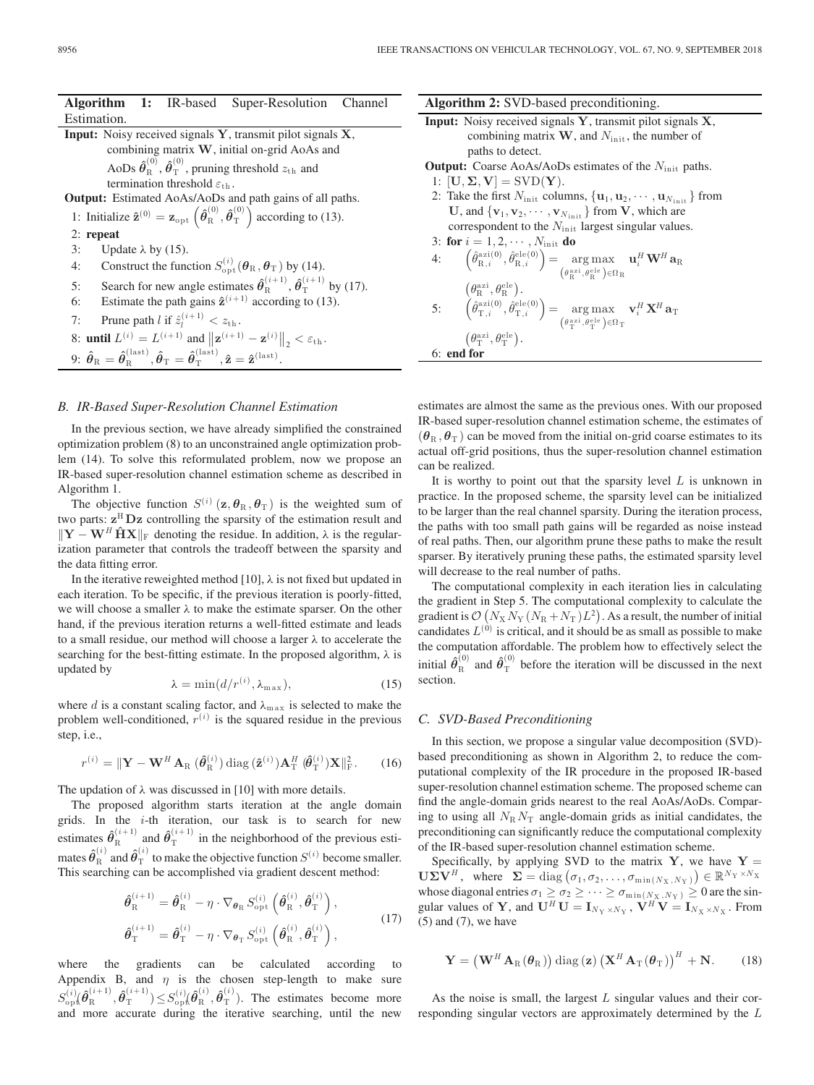|             |  | <b>Algorithm 1:</b> IR-based Super-Resolution Channel |  |
|-------------|--|-------------------------------------------------------|--|
| Estimation. |  |                                                       |  |

**Input:** Noisy received signals **Y**, transmit pilot signals **X**, combining matrix **W**, initial on-grid AoAs and AoDs  $\hat{\theta}_{\rm R}^{(0)}$ ,  $\hat{\theta}_{\rm T}^{(0)}$ , pruning threshold  $z_{\rm th}$  and termination threshold  $\varepsilon_{\rm th}$ . **Output:** Estimated AoAs/AoDs and path gains of all paths. 1: Initialize  $\hat{\mathbf{z}}^{(0)} = \mathbf{z}_{\text{opt}} \left( \hat{\boldsymbol{\theta}}_{\text{R}}^{(0)}, \hat{\boldsymbol{\theta}}_{\text{T}}^{(0)} \right)$  according to (13). 2: **repeat** 3: Update  $\lambda$  by (15). 4: Construct the function  $S_{\text{opt}}^{(i)}(\theta_R, \theta_T)$  by (14). 5: Search for new angle estimates  $\hat{\theta}_{R}^{(i+1)}$ ,  $\hat{\theta}_{T}^{(i+1)}$  by (17). 6: Estimate the path gains  $\hat{\mathbf{z}}^{(i+1)}$  according to (13). 7: Prune path *l* if  $\hat{z}_l^{(i+1)} < z_{\text{th}}$ . 8: **until**  $L^{(i)} = L^{(i+1)}$  and  $\|\mathbf{z}^{(i+1)} - \mathbf{z}^{(i)}\|_2 < \varepsilon_{\text{th}}$ . 9:  $\hat{\boldsymbol{\theta}}_{\text{R}} = \hat{\boldsymbol{\theta}}_{\text{R}}^{(\text{last})}, \hat{\boldsymbol{\theta}}_{\text{T}} = \hat{\boldsymbol{\theta}}_{\text{T}}^{(\text{last})}, \hat{\mathbf{z}} = \hat{\mathbf{z}}^{(\text{last})}.$ 

### *B. IR-Based Super-Resolution Channel Estimation*

In the previous section, we have already simplified the constrained optimization problem (8) to an unconstrained angle optimization problem (14). To solve this reformulated problem, now we propose an IR-based super-resolution channel estimation scheme as described in Algorithm 1.

The objective function  $S^{(i)}$  (**z**,  $\theta_R$ ,  $\theta_T$ ) is the weighted sum of two parts: **z**<sup>H</sup> **Dz** controlling the sparsity of the estimation result and  $\|\mathbf{Y} - \mathbf{W}^H\hat{\mathbf{H}}\mathbf{X}\|_F$  denoting the residue. In addition,  $\lambda$  is the regularization parameter that controls the tradeoff between the sparsity and the data fitting error.

In the iterative reweighted method [10],  $\lambda$  is not fixed but updated in each iteration. To be specific, if the previous iteration is poorly-fitted, we will choose a smaller  $\lambda$  to make the estimate sparser. On the other hand, if the previous iteration returns a well-fitted estimate and leads to a small residue, our method will choose a larger λ to accelerate the searching for the best-fitting estimate. In the proposed algorithm,  $\lambda$  is updated by

$$
\lambda = \min(d/r^{(i)}, \lambda_{\max}),\tag{15}
$$

where d is a constant scaling factor, and  $\lambda_{\text{max}}$  is selected to make the problem well-conditioned,  $r^{(i)}$  is the squared residue in the previous step, i.e.,

$$
r^{(i)} = \|\mathbf{Y} - \mathbf{W}^H \mathbf{A}_{\text{R}} \left( \hat{\boldsymbol{\theta}}_{\text{R}}^{(i)} \right) \text{diag}\left( \hat{\mathbf{z}}^{(i)} \right) \mathbf{A}_{\text{T}}^H \left( \hat{\boldsymbol{\theta}}_{\text{T}}^{(i)} \right) \mathbf{X} \|_{\text{F}}^2. \tag{16}
$$

The updation of  $\lambda$  was discussed in [10] with more details.

The proposed algorithm starts iteration at the angle domain grids. In the  $i$ -th iteration, our task is to search for new estimates  $\hat{\theta}_{R}^{(i+1)}$  and  $\hat{\theta}_{T}^{(i+1)}$  in the neighborhood of the previous estimates  $\hat{\theta}_{R}^{(i)}$  and  $\hat{\theta}_{T}^{(i)}$  to make the objective function  $S^{(i)}$  become smaller. This searching can be accomplished via gradient descent method:

$$
\hat{\boldsymbol{\theta}}_{\mathrm{R}}^{(i+1)} = \hat{\boldsymbol{\theta}}_{\mathrm{R}}^{(i)} - \eta \cdot \nabla_{\boldsymbol{\theta}_{\mathrm{R}}} S_{\mathrm{opt}}^{(i)} \left( \hat{\boldsymbol{\theta}}_{\mathrm{R}}^{(i)}, \hat{\boldsymbol{\theta}}_{\mathrm{T}}^{(i)} \right),
$$
\n
$$
\hat{\boldsymbol{\theta}}_{\mathrm{T}}^{(i+1)} = \hat{\boldsymbol{\theta}}_{\mathrm{T}}^{(i)} - \eta \cdot \nabla_{\boldsymbol{\theta}_{\mathrm{T}}} S_{\mathrm{opt}}^{(i)} \left( \hat{\boldsymbol{\theta}}_{\mathrm{R}}^{(i)}, \hat{\boldsymbol{\theta}}_{\mathrm{T}}^{(i)} \right),
$$
\n(17)

where the gradients can be calculated according Appendix B, and  $\eta$  is the chosen step-length to make sure  $S_{\text{op}}^{(i)}(\hat{\theta}_{\text{R}}^{(i+1)}, \hat{\theta}_{\text{T}}^{(i+1)}) \leq S_{\text{op}}^{(i)}(\hat{\theta}_{\text{R}}^{(i)}, \hat{\theta}_{\text{T}}^{(i)})$ . The estimates become more and more accurate during the iterative searching, until the new **Algorithm 2:** SVD-based preconditioning. **Input:** Noisy received signals **Y**, transmit pilot signals **X**,

| combining matrix $W$ , and $N_{init}$ , the number of                                                                                                                                                                                                                                          |  |  |  |  |
|------------------------------------------------------------------------------------------------------------------------------------------------------------------------------------------------------------------------------------------------------------------------------------------------|--|--|--|--|
| paths to detect.                                                                                                                                                                                                                                                                               |  |  |  |  |
| <b>Output:</b> Coarse AoAs/AoDs estimates of the $N_{init}$ paths.                                                                                                                                                                                                                             |  |  |  |  |
| 1: $[\mathbf{U}, \boldsymbol{\Sigma}, \mathbf{V}] = \text{SVD}(\mathbf{Y}).$                                                                                                                                                                                                                   |  |  |  |  |
| 2: Take the first $N_{\text{init}}$ columns, $\{ \mathbf{u}_1, \mathbf{u}_2, \cdots, \mathbf{u}_{N_{\text{init}}} \}$ from                                                                                                                                                                     |  |  |  |  |
| U, and $\{v_1, v_2, \cdots, v_{N_{\text{init}}}\}\$ from V, which are                                                                                                                                                                                                                          |  |  |  |  |
| correspondent to the $N_{init}$ largest singular values.                                                                                                                                                                                                                                       |  |  |  |  |
| 3: for $i = 1, 2, \cdots, N_{\text{init}}$ do                                                                                                                                                                                                                                                  |  |  |  |  |
| $\left(\hat{\theta}_{\mathrm{R},i}^{\mathrm{azi}(0)},\hat{\theta}_{\mathrm{R},i}^{\mathrm{ele}(0)}\right) = \argmax_{\left(\theta_{\mathrm{R}}^{\mathrm{azi}},\theta_{\mathrm{R}}^{\mathrm{ele}}\right) \in \Omega_{\mathrm{R}}}\mathbf{u}_{i}^{H}\mathbf{W}^{H}\mathbf{a}_{\mathrm{R}}$<br>4: |  |  |  |  |
| $(\theta_{\rm B}^{\rm azi}, \theta_{\rm B}^{\rm ele})$ .                                                                                                                                                                                                                                       |  |  |  |  |
| ${\bf 5:} \qquad \left(\hat{\theta}_{{\rm T},i}^{\rm{azi} (0)},\hat{\theta}_{{\rm T},i}^{\rm{ele} (0)}\right) \!=\! \mathop {\arg \max }\limits_{\left(\theta_{{\rm T}}^{\rm{azi}},\theta_{{\rm T}}^{\rm{ele}}\right) \in \Omega_{\rm T}} {\bf v}_{i}^H \, {\bf X}^H \, {\bf a}_{\rm T}$       |  |  |  |  |
| $(\theta_{\rm T}^{\rm azi}, \theta_{\rm T}^{\rm ele})$ .                                                                                                                                                                                                                                       |  |  |  |  |
| 6: end for                                                                                                                                                                                                                                                                                     |  |  |  |  |

estimates are almost the same as the previous ones. With our proposed IR-based super-resolution channel estimation scheme, the estimates of  $(\theta_R, \theta_T)$  can be moved from the initial on-grid coarse estimates to its actual off-grid positions, thus the super-resolution channel estimation can be realized.

It is worthy to point out that the sparsity level  $L$  is unknown in practice. In the proposed scheme, the sparsity level can be initialized to be larger than the real channel sparsity. During the iteration process, the paths with too small path gains will be regarded as noise instead of real paths. Then, our algorithm prune these paths to make the result sparser. By iteratively pruning these paths, the estimated sparsity level will decrease to the real number of paths.

The computational complexity in each iteration lies in calculating the gradient in Step 5. The computational complexity to calculate the gradient is  $\mathcal{O}\left(N_\text{X} N_\text{Y} (N_\text{R}+N_\text{T})L^2\right)$ . As a result, the number of initial candidates  $L^{(0)}$  is critical, and it should be as small as possible to make the computation affordable. The problem how to effectively select the initial  $\hat{\theta}_{R}^{(0)}$  and  $\hat{\theta}_{T}^{(0)}$  before the iteration will be discussed in the next section.

#### *C. SVD-Based Preconditioning*

In this section, we propose a singular value decomposition (SVD) based preconditioning as shown in Algorithm 2, to reduce the computational complexity of the IR procedure in the proposed IR-based super-resolution channel estimation scheme. The proposed scheme can find the angle-domain grids nearest to the real AoAs/AoDs. Comparing to using all  $N_R N_T$  angle-domain grids as initial candidates, the preconditioning can significantly reduce the computational complexity of the IR-based super-resolution channel estimation scheme.

Specifically, by applying SVD to the matrix **Y**, we have **Y** = **UΣV<sup>H</sup>**, where  $\Sigma = \text{diag}(\sigma_1, \sigma_2, \dots, \sigma_{\min(N_X, N_Y)}) \in \mathbb{R}^{N_Y \times N_X}$ whose diagonal entries  $\sigma_1 \geq \sigma_2 \geq \cdots \geq \sigma_{\min(N_X, N_Y)} \geq 0$  are the singular values of **Y**, and  $\mathbf{U}^H \mathbf{U} = \mathbf{I}_{N_Y \times N_Y}$ ,  $\mathbf{V}^H \mathbf{V} = \mathbf{I}_{N_X \times N_X}$ . From  $(5)$  and  $(7)$ , we have

$$
\mathbf{Y} = \left(\mathbf{W}^{H} \mathbf{A}_{\mathrm{R}}(\boldsymbol{\theta}_{\mathrm{R}})\right) \mathrm{diag}\left(\mathbf{z}\right) \left(\mathbf{X}^{H} \mathbf{A}_{\mathrm{T}}(\boldsymbol{\theta}_{\mathrm{T}})\right)^{H} + \mathbf{N}.
$$
 (18)

As the noise is small, the largest  $L$  singular values and their corresponding singular vectors are approximately determined by the L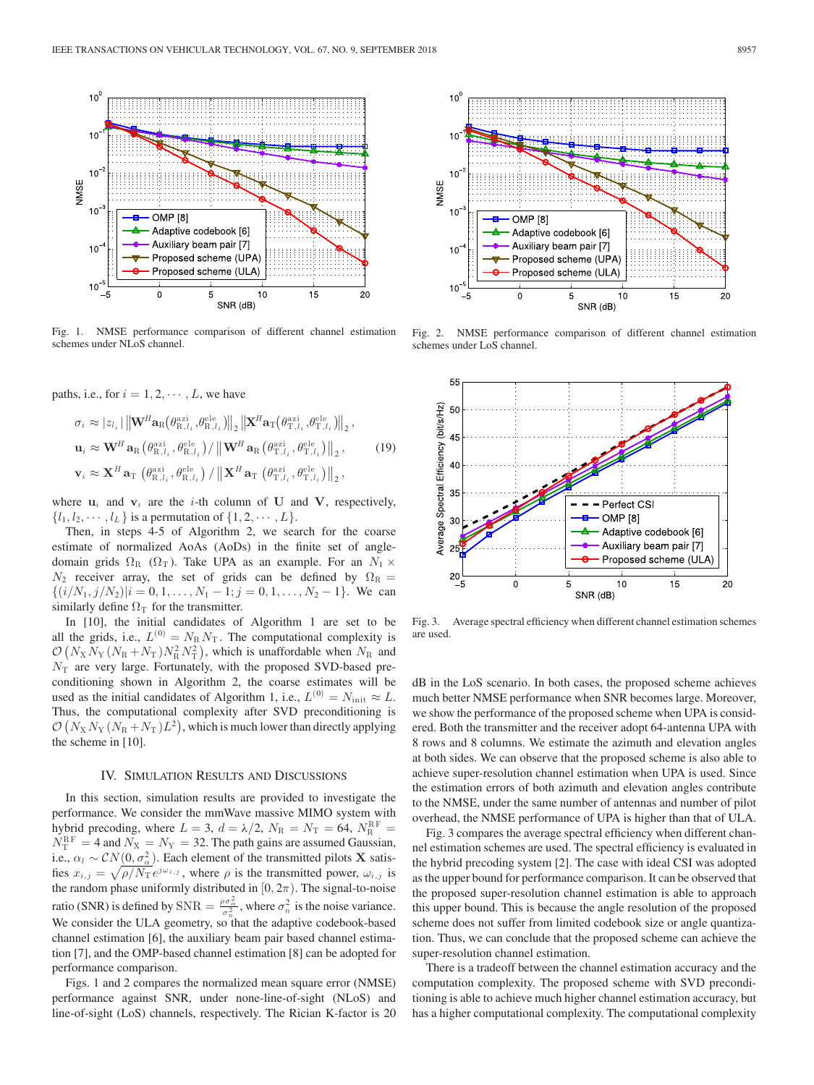

Fig. 1. NMSE performance comparison of different channel estimation schemes under NLoS channel.

paths, i.e., for  $i = 1, 2, \dots, L$ , we have

$$
\sigma_i \approx |z_{l_i}| \left\| \mathbf{W}^H \mathbf{a}_{\mathrm{R}} \left( \theta_{\mathrm{R},l_i}^{\mathrm{azi}}, \theta_{\mathrm{R},l_i}^{\mathrm{ele}} \right) \right\|_2 \left\| \mathbf{X}^H \mathbf{a}_{\mathrm{T}} \left( \theta_{\mathrm{T},l_i}^{\mathrm{azi}}, \theta_{\mathrm{T},l_i}^{\mathrm{ele}} \right) \right\|_2, \n\mathbf{u}_i \approx \mathbf{W}^H \mathbf{a}_{\mathrm{R}} \left( \theta_{\mathrm{R},l_i}^{\mathrm{azi}}, \theta_{\mathrm{R},l_i}^{\mathrm{ele}} \right) / \left\| \mathbf{W}^H \mathbf{a}_{\mathrm{R}} \left( \theta_{\mathrm{T},l_i}^{\mathrm{azi}}, \theta_{\mathrm{T},l_i}^{\mathrm{ele}} \right) \right\|_2, \n\mathbf{v}_i \approx \mathbf{X}^H \mathbf{a}_{\mathrm{T}} \left( \theta_{\mathrm{R},l_i}^{\mathrm{azi}}, \theta_{\mathrm{R},l_i}^{\mathrm{ele}} \right) / \left\| \mathbf{X}^H \mathbf{a}_{\mathrm{T}} \left( \theta_{\mathrm{T},l_i}^{\mathrm{azi}}, \theta_{\mathrm{T},l_i}^{\mathrm{ele}} \right) \right\|_2,
$$
\n(19)

where  $\mathbf{u}_i$  and  $\mathbf{v}_i$  are the *i*-th column of **U** and **V**, respectively,  $\{l_1, l_2, \cdots, l_L\}$  is a permutation of  $\{1, 2, \cdots, L\}$ .

Then, in steps 4-5 of Algorithm 2, we search for the coarse estimate of normalized AoAs (AoDs) in the finite set of angledomain grids  $\Omega_R$  ( $\Omega_T$ ). Take UPA as an example. For an  $N_1 \times$  $N_2$  receiver array, the set of grids can be defined by  $\Omega_R =$  $\{(i/N_1, j/N_2)|i = 0, 1, \ldots, N_1 - 1; j = 0, 1, \ldots, N_2 - 1\}$ . We can similarly define  $\Omega_T$  for the transmitter.

In [10], the initial candidates of Algorithm 1 are set to be all the grids, i.e.,  $L^{(0)} = N_R N_T$ . The computational complexity is  $\mathcal{O}\left(N_X N_Y\left(N_R+N_T\right)N_R^2 N_T^2\right)$ , which is unaffordable when  $N_R$  and  $N_T$  are very large. Fortunately, with the proposed SVD-based preconditioning shown in Algorithm 2, the coarse estimates will be used as the initial candidates of Algorithm 1, i.e.,  $L^{(0)} = N_{\text{init}} \approx L$ . Thus, the computational complexity after SVD preconditioning is  $\mathcal{O}(N_X N_Y (N_R + N_T) L^2)$ , which is much lower than directly applying the scheme in [10].

### IV. SIMULATION RESULTS AND DISCUSSIONS

In this section, simulation results are provided to investigate the performance. We consider the mmWave massive MIMO system with hybrid precoding, where  $L = 3$ ,  $d = \lambda/2$ ,  $N_R = N_T = 64$ ,  $N_R^{RF} =$  $N_{\rm T}^{\rm RF} = 4$  and  $N_{\rm X} = N_{\rm Y} = 32$ . The path gains are assumed Gaussian, i.e.,  $\alpha_l \sim \mathcal{CN}(0, \sigma_{\alpha}^2)$ . Each element of the transmitted pilots **X** satisfies  $x_{i,j} = \sqrt{\rho/N_T} e^{j\omega_{i,j}}$ , where  $\rho$  is the transmitted power,  $\omega_{i,j}$  is the random phase uniformly distributed in  $[0, 2\pi)$ . The signal-to-noise ratio (SNR) is defined by SNR =  $\frac{\rho \sigma_{\alpha}^2}{\sigma_n^2}$ , where  $\sigma_n^2$  is the noise variance. We consider the ULA geometry, so that the adaptive codebook-based channel estimation [6], the auxiliary beam pair based channel estimation [7], and the OMP-based channel estimation [8] can be adopted for performance comparison.

Figs. 1 and 2 compares the normalized mean square error (NMSE) performance against SNR, under none-line-of-sight (NLoS) and line-of-sight (LoS) channels, respectively. The Rician K-factor is 20



Fig. 2. NMSE performance comparison of different channel estimation schemes under LoS channel.



Fig. 3. Average spectral efficiency when different channel estimation schemes are used.

dB in the LoS scenario. In both cases, the proposed scheme achieves much better NMSE performance when SNR becomes large. Moreover, we show the performance of the proposed scheme when UPA is considered. Both the transmitter and the receiver adopt 64-antenna UPA with 8 rows and 8 columns. We estimate the azimuth and elevation angles at both sides. We can observe that the proposed scheme is also able to achieve super-resolution channel estimation when UPA is used. Since the estimation errors of both azimuth and elevation angles contribute to the NMSE, under the same number of antennas and number of pilot overhead, the NMSE performance of UPA is higher than that of ULA.

Fig. 3 compares the average spectral efficiency when different channel estimation schemes are used. The spectral efficiency is evaluated in the hybrid precoding system [2]. The case with ideal CSI was adopted as the upper bound for performance comparison. It can be observed that the proposed super-resolution channel estimation is able to approach this upper bound. This is because the angle resolution of the proposed scheme does not suffer from limited codebook size or angle quantization. Thus, we can conclude that the proposed scheme can achieve the super-resolution channel estimation.

There is a tradeoff between the channel estimation accuracy and the computation complexity. The proposed scheme with SVD preconditioning is able to achieve much higher channel estimation accuracy, but has a higher computational complexity. The computational complexity